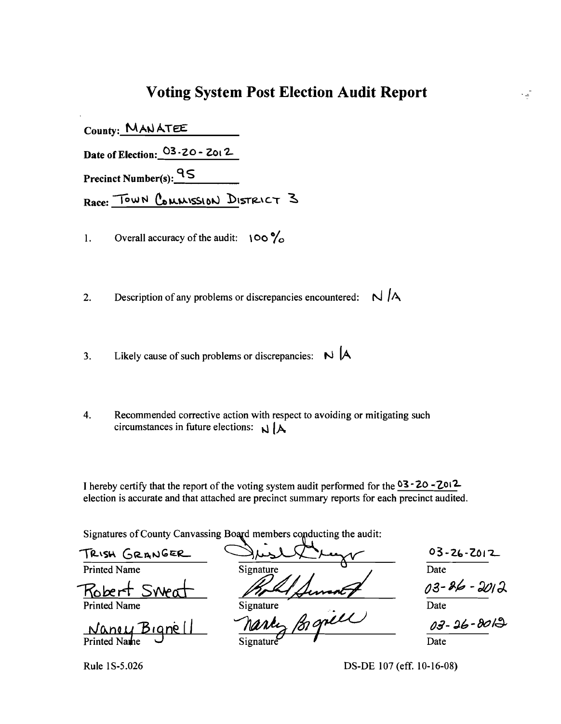### **Voting System Post Election Audit Report**

 $\frac{1}{2}$ 

| Date of Election: $03 - 20 - 2012$  |
|-------------------------------------|
| Precinct Number(s): $\frac{95}{15}$ |
| Race: TOWN COMMISSION DISTRICT 3    |

1. Overall accuracy of the audit:  $\log \frac{9}{6}$ 

2. Description of any problems or discrepancies encountered:  $N / A$ 

- 3. Likely cause of such problems or discrepancies:  $\mathbb{N}$  |A
- 4. Recommended corrective action with respect to avoiding or mitigating such circumstances in future elections:  $\mathbf{N}$  |  $\mathbf{A}$

I hereby certify that the report of the voting system audit performed for the  $03 - 20 - 2012$ election is accurate and that attached are precinct summary reports for each precinct audited.

Signatures of County Canvassing Board members conducting the audit:

Signatures of County Canvassing Board members conducting the audit:<br>TRISH GRANGER SIGNARY O3-26-Z012 FRISH GRANGER<br>Printed Name Signature ... Signature ... . Date ... Date ... Date ... 2012 Date Nancy Bigne  $\frac{1}{\text{Sigma}}$   $\frac{7}{\text{D}}$   $\frac{7}{\text{D}}$   $\frac{7}{\text{D}}$   $\frac{7}{\text{D}}$   $\frac{7}{\text{D}}$   $\frac{7}{\text{D}}$ 

Rule 1S-5.026 DS-DE 107 (eff. 10-16-08)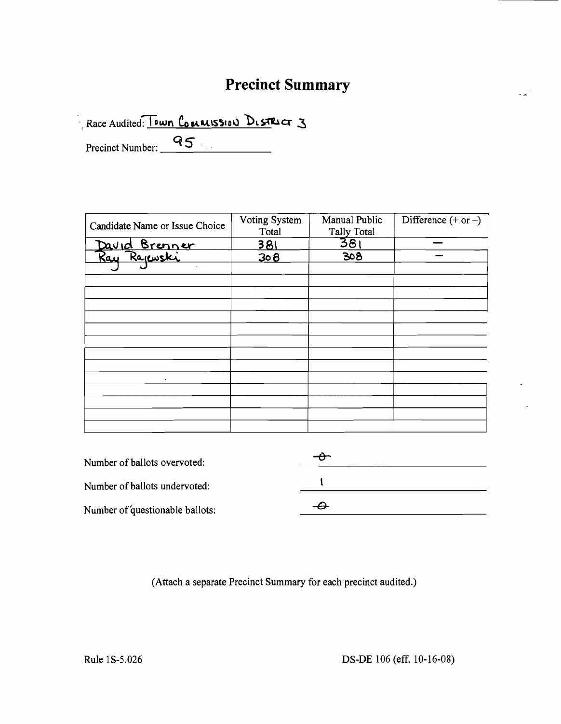# **Precinct Summary**

 $\mathbb{Z}^{\mathbb{Z}}$ 

Race Audited: Town Commission District 3

Precinct Number: 95

| Candidate Name or Issue Choice             | Voting System<br>Total | Manual Public<br><b>Tally Total</b> | Difference $(+ or -)$ |
|--------------------------------------------|------------------------|-------------------------------------|-----------------------|
|                                            | 381                    | 381                                 |                       |
| David Brenner<br>Ray Ra <sub>il</sub> wski | 308                    | 308                                 |                       |
| $\mathbf{v}$                               |                        |                                     |                       |
|                                            |                        |                                     |                       |
|                                            |                        |                                     |                       |
|                                            |                        |                                     |                       |
|                                            |                        |                                     |                       |
|                                            |                        |                                     |                       |
|                                            |                        |                                     |                       |
|                                            |                        |                                     |                       |
|                                            |                        |                                     |                       |
| ٠                                          |                        |                                     |                       |
|                                            |                        |                                     |                       |
|                                            |                        |                                     |                       |
|                                            |                        |                                     |                       |
|                                            |                        |                                     |                       |

| Number of ballots overvoted:    |  |
|---------------------------------|--|
| Number of ballots undervoted:   |  |
| Number of questionable ballots: |  |

(Attach a separate Precinct Summary for each precinct audited.)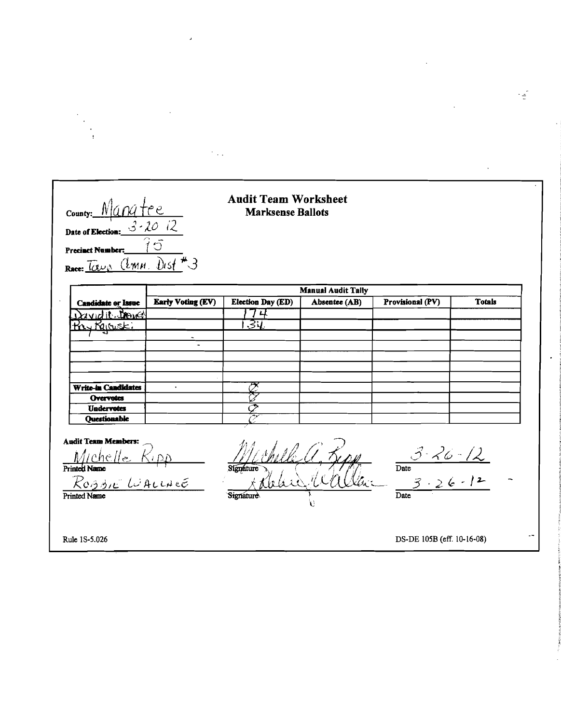county: Manatee Date of Election:  $3 - 20$   $12$ 5 **Precinct Number**  $\overline{\mathcal{F}}$  $Dist$  $(l<sub>MM</sub>)$  $Race: \overline{(\alpha \nu)}$ 

#### **Audit Team Worksheet Marksense Ballots**

 $\mathcal{O}_{\mathcal{A},\mathcal{A}}$ 

|                            | <b>Manual Audit Tally</b> |                          |               |                  |               |  |  |  |  |  |  |  |  |  |
|----------------------------|---------------------------|--------------------------|---------------|------------------|---------------|--|--|--|--|--|--|--|--|--|
| <b>Candidate or Issue</b>  | <b>Early Voting (EV)</b>  | <b>Election Day (ED)</b> | Absentee (AB) | Provisional (PV) | <b>Totals</b> |  |  |  |  |  |  |  |  |  |
| David it trover            |                           |                          |               |                  |               |  |  |  |  |  |  |  |  |  |
|                            |                           | .ड्य                     |               |                  |               |  |  |  |  |  |  |  |  |  |
|                            |                           |                          |               |                  |               |  |  |  |  |  |  |  |  |  |
|                            |                           |                          |               |                  |               |  |  |  |  |  |  |  |  |  |
|                            |                           |                          |               |                  |               |  |  |  |  |  |  |  |  |  |
|                            |                           |                          |               |                  |               |  |  |  |  |  |  |  |  |  |
|                            |                           |                          |               |                  |               |  |  |  |  |  |  |  |  |  |
| <b>Write-in Candidates</b> |                           |                          |               |                  |               |  |  |  |  |  |  |  |  |  |
| <b>Overvotes</b>           |                           |                          |               |                  |               |  |  |  |  |  |  |  |  |  |
| <b>Undervotes</b>          |                           |                          |               |                  |               |  |  |  |  |  |  |  |  |  |
| Questionable               |                           | المهاجر                  |               |                  |               |  |  |  |  |  |  |  |  |  |

**Audit Team Members:** Michelle  $R$ 0331E  $L$  $ALLH$  $E$ 

Printed Name

Signature Signature ٤ì

 $\frac{26-12}{26-12}$  $\frac{1}{\text{Date}}$  $\overline{3}$  $\overline{\text{Date}}$ 

Rule 1S-5.026

DS-DE 105B (eff. 10-16-08)

E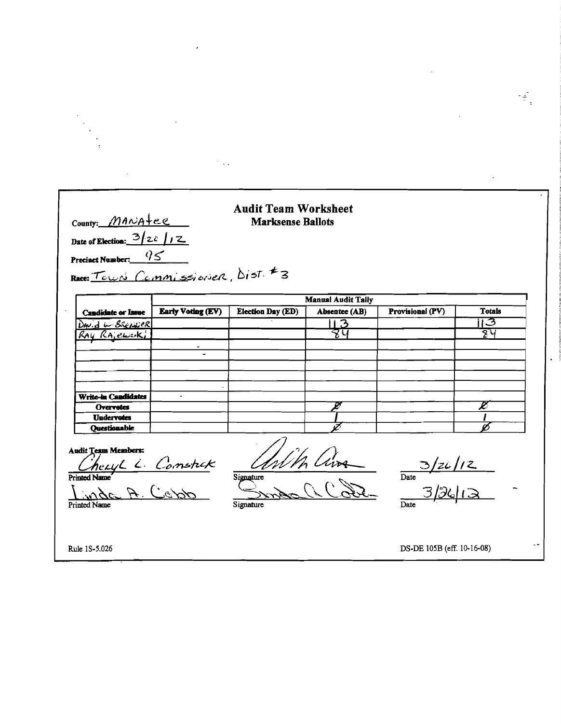| County: $MAP$                                                                                                |                                   | <b>Marksense Ballots</b> |                           |                                   |               |
|--------------------------------------------------------------------------------------------------------------|-----------------------------------|--------------------------|---------------------------|-----------------------------------|---------------|
| Date of Election: $3/z\sqrt{12}$                                                                             |                                   |                          |                           |                                   |               |
| Precinct Number: $q \leq$                                                                                    |                                   |                          |                           |                                   |               |
|                                                                                                              | Race: Town Commissioner, Dist. #3 |                          |                           |                                   |               |
|                                                                                                              |                                   |                          | <b>Manual Audit Tally</b> |                                   |               |
| <b>Candidate or Issue</b>                                                                                    | <b>Early Voting (EV)</b>          | <b>Election Day (ED)</b> | Absentee (AB)             | Provisional (PV)                  | <b>Totals</b> |
| DAV.d W. BREAKER                                                                                             |                                   |                          | -3                        |                                   | 13            |
| RAY RAjewski                                                                                                 |                                   |                          |                           |                                   | 8प            |
| <b>Write-in Candidates</b><br><b>Overvotes</b>                                                               |                                   |                          |                           |                                   | Ø             |
| <b>Undervotes</b>                                                                                            |                                   |                          |                           |                                   |               |
| Questionable                                                                                                 |                                   |                          |                           |                                   |               |
| <b>Audit Team Members:</b><br><u>Cheryl L. Constrak</u><br>red Name<br>inder A. Condo<br><b>Printed Name</b> |                                   | Signature                |                           | $\frac{3/26}{2}$<br>$\frac{7}{2}$ |               |
| <b>Printed Name</b>                                                                                          |                                   | Signature                |                           | Date                              |               |

 $\mathcal{L}(\mathcal{L}(\mathcal{L}))$  . The set of  $\mathcal{L}(\mathcal{L})$ 

 $\mathcal{L}^{\text{max}}_{\text{max}}$ 

 $\sim 10^{11}$  km  $^{-1}$ 

rei<br>Ti

 $\mathcal{L}^{\text{max}}_{\text{max}}$  and  $\mathcal{L}^{\text{max}}_{\text{max}}$ 

 $\mathcal{L}_{\text{max}}$  , where  $\mathcal{L}_{\text{max}}$ 

 $\mathcal{L}^{\text{max}}_{\text{max}}$ 

 $\mathcal{L}_{\text{max}}$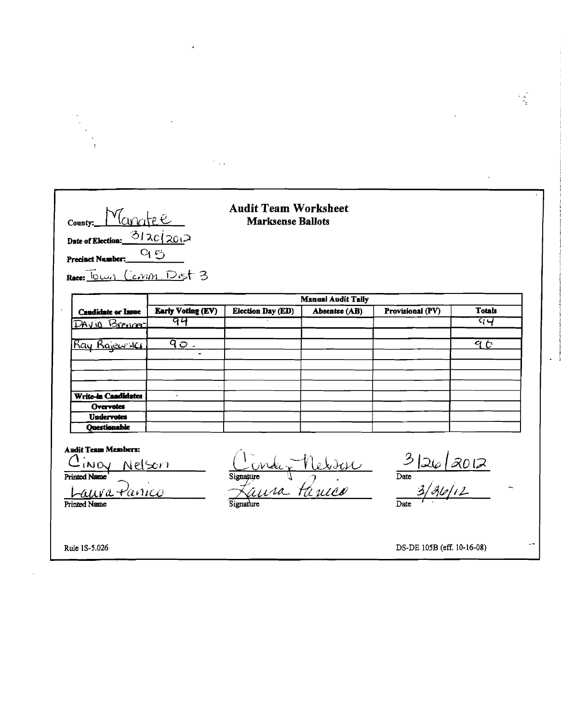| County: Manatee<br>Date of Election: $\frac{312c}{201}$<br>Precinct Number:___                                  | 95                | <b>Audit Team Worksheet</b><br><b>Marksense Ballots</b> |                           |                              |                  |
|-----------------------------------------------------------------------------------------------------------------|-------------------|---------------------------------------------------------|---------------------------|------------------------------|------------------|
| Race: Town Cann Dist 3                                                                                          |                   |                                                         | <b>Manual Audit Taily</b> |                              |                  |
| <b>Candidate or Issue</b>                                                                                       | Early Voting (EV) | <b>Election Day (ED)</b>                                | Absentee (AB)             | Provisional (PV)             | <b>Totals</b>    |
| DAVIO Brenner                                                                                                   | 94                |                                                         |                           |                              | य प              |
| <u>Ray Rajewski</u>                                                                                             | <u>90.</u>        |                                                         |                           |                              | $\overline{9}$ 0 |
| <b>Write-in Candidates</b><br>Overvotes                                                                         |                   |                                                         |                           |                              |                  |
| <b>Undervotes</b>                                                                                               |                   |                                                         |                           |                              |                  |
| <b>Ouestionable</b><br><b>Audit Team Members:</b><br>Cino <u>v Nelson</u><br>Printed Name<br><u>auva Panico</u> |                   | Signature Verder                                        |                           | $\frac{3 26 8012 }{3/36/12}$ |                  |

 $\bar{\boldsymbol{\beta}}$ 

 $\mathcal{O}(\mathbb{Z}/2)$ 

 $\overline{\phantom{a}}$ 

ă.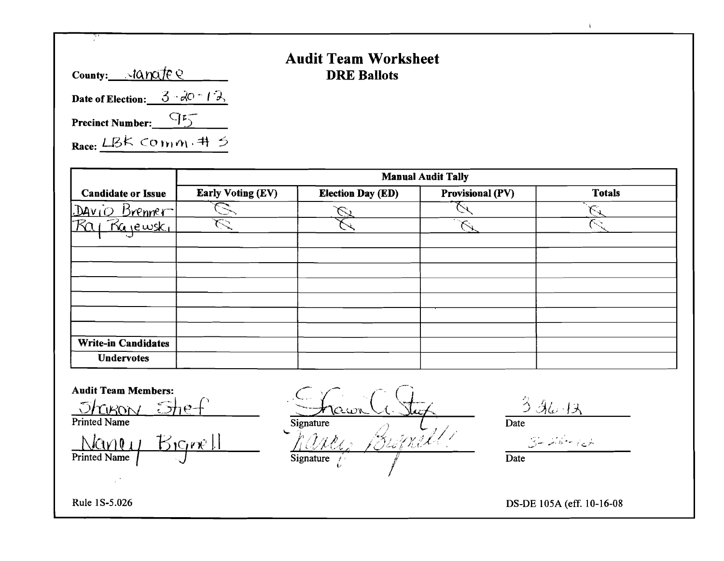| County: $\sqrt{a}$ mate Q                |  |
|------------------------------------------|--|
| Date of Election: $3\sqrt{2}$ $\sqrt{2}$ |  |
| Precinct Number:                         |  |
| Race: LBK COmm. # 5                      |  |

## Audit Team Worksheet DRE Ballots

|                                           | <b>Manual Audit Tally</b> |                          |                         |               |  |  |  |  |  |  |  |  |  |  |
|-------------------------------------------|---------------------------|--------------------------|-------------------------|---------------|--|--|--|--|--|--|--|--|--|--|
| <b>Candidate or Issue</b>                 | <b>Early Voting (EV)</b>  | <b>Election Day (ED)</b> | <b>Provisional (PV)</b> | <b>Totals</b> |  |  |  |  |  |  |  |  |  |  |
| Brenner <sup>-1</sup><br>Dov <sub>1</sub> |                           |                          |                         |               |  |  |  |  |  |  |  |  |  |  |
| Rajewski                                  |                           |                          |                         |               |  |  |  |  |  |  |  |  |  |  |
|                                           |                           |                          |                         |               |  |  |  |  |  |  |  |  |  |  |
|                                           |                           |                          |                         |               |  |  |  |  |  |  |  |  |  |  |
|                                           |                           |                          |                         |               |  |  |  |  |  |  |  |  |  |  |
|                                           |                           |                          |                         |               |  |  |  |  |  |  |  |  |  |  |
|                                           |                           |                          |                         |               |  |  |  |  |  |  |  |  |  |  |
|                                           |                           |                          |                         |               |  |  |  |  |  |  |  |  |  |  |
| <b>Write-in Candidates</b>                |                           |                          |                         |               |  |  |  |  |  |  |  |  |  |  |
| <b>Undervotes</b>                         |                           |                          |                         |               |  |  |  |  |  |  |  |  |  |  |

Audit Team Members:<br>
<u>S/CCCON</u>  $C<sub>1</sub>$  (  $J$  $h$  $R$ on  $J_1 e f$  .  $J_1$  $R$  ,  $J_2$ ,  $J_3$ ,  $J_4$ ,  $J_5$ Printed Name<br>  $\frac{\sqrt{2\pi}}{\pi}$ <br>
Printed Name<br>
Printed Name<br>  $\frac{\sqrt{2\pi}}{\pi}$ <br>
Signature<br>  $\frac{\sqrt{2\pi}}{\pi}$ <br>
Signature<br>  $\frac{\sqrt{2\pi}}{\pi}$ <br>  $\frac{\sqrt{2\pi}}{\pi}$ <br>  $\frac{\sqrt{2\pi}}{\pi}$ <br>  $\frac{\sqrt{2\pi}}{\pi}$ <br>  $\frac{\sqrt{2\pi}}{\pi}$ <br>  $\frac{\sqrt{2\pi}}{\pi}$ <br>  $\frac{\sqrt{2\pi}}{\pi}$ Printed Name  $\qquad \qquad$  Signature  $\qquad \qquad \qquad$   $\qquad \qquad$  Date Printed Name I J Signature /.' -------,; Date (. /  $\sim 10^4$ 

Rule IS-5.026 DS-DE 105A (eff. 10-16-08

 $\Lambda$